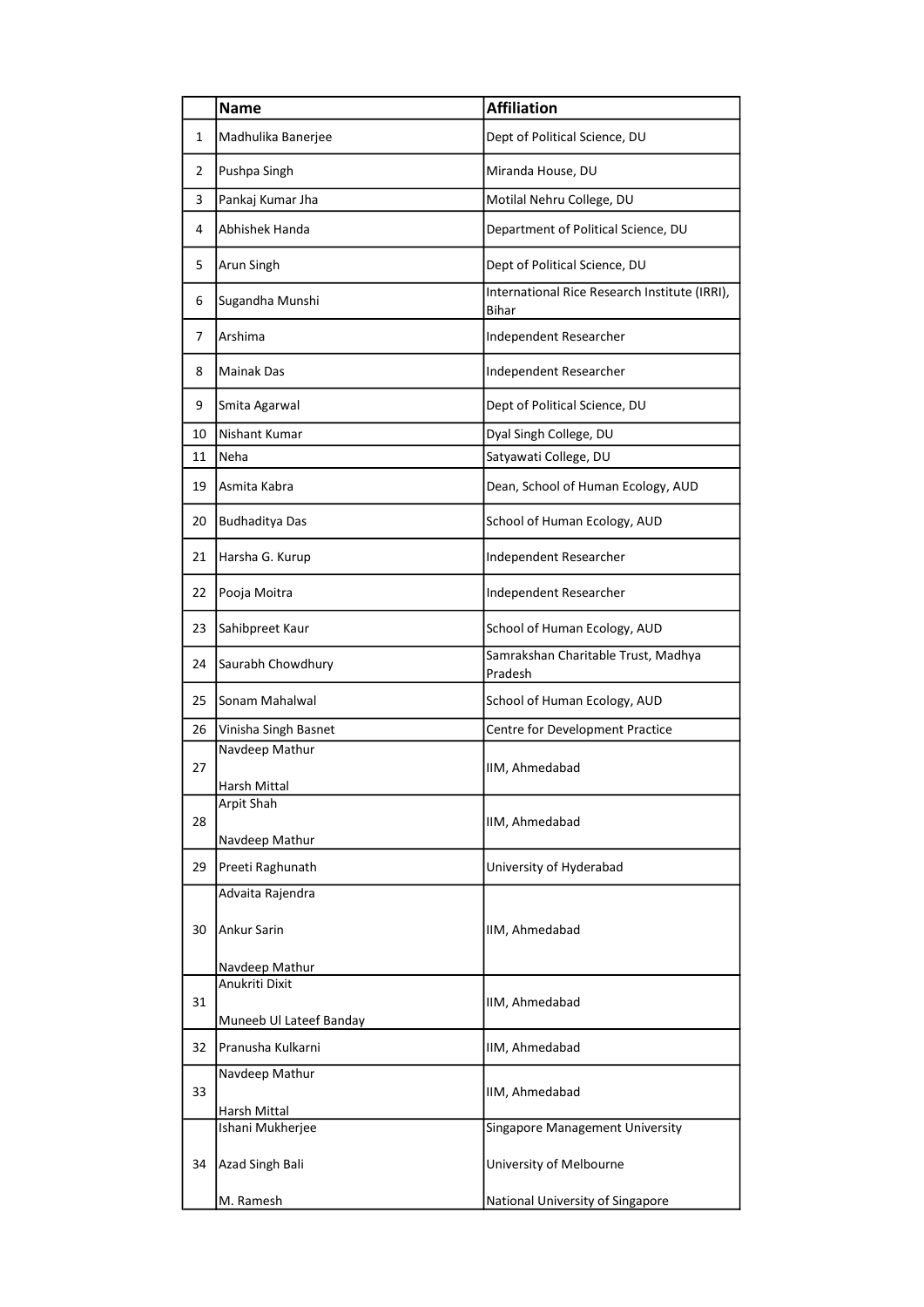|    | <b>Name</b>                        | <b>Affiliation</b>                                     |
|----|------------------------------------|--------------------------------------------------------|
| 1  | Madhulika Banerjee                 | Dept of Political Science, DU                          |
| 2  | Pushpa Singh                       | Miranda House, DU                                      |
| 3  | Pankaj Kumar Jha                   | Motilal Nehru College, DU                              |
| 4  | Abhishek Handa                     | Department of Political Science, DU                    |
| 5  | Arun Singh                         | Dept of Political Science, DU                          |
| 6  | Sugandha Munshi                    | International Rice Research Institute (IRRI),<br>Bihar |
| 7  | Arshima                            | Independent Researcher                                 |
| 8  | <b>Mainak Das</b>                  | Independent Researcher                                 |
| 9  | Smita Agarwal                      | Dept of Political Science, DU                          |
| 10 | Nishant Kumar                      | Dyal Singh College, DU                                 |
| 11 | Neha                               | Satyawati College, DU                                  |
| 19 | Asmita Kabra                       | Dean, School of Human Ecology, AUD                     |
| 20 | <b>Budhaditya Das</b>              | School of Human Ecology, AUD                           |
| 21 | Harsha G. Kurup                    | Independent Researcher                                 |
| 22 | Pooja Moitra                       | Independent Researcher                                 |
| 23 | Sahibpreet Kaur                    | School of Human Ecology, AUD                           |
| 24 | Saurabh Chowdhury                  | Samrakshan Charitable Trust, Madhya<br>Pradesh         |
| 25 | Sonam Mahalwal                     | School of Human Ecology, AUD                           |
| 26 | Vinisha Singh Basnet               | Centre for Development Practice                        |
| 27 | Navdeep Mathur<br>Harsh Mittal     | IIM, Ahmedabad                                         |
| 28 | Arpit Shah                         | IIM, Ahmedabad                                         |
| 29 | Navdeep Mathur<br>Preeti Raghunath | University of Hyderabad                                |
|    | Advaita Rajendra                   |                                                        |
| 30 | Ankur Sarin                        | IIM, Ahmedabad                                         |
|    | Navdeep Mathur                     |                                                        |
|    | Anukriti Dixit                     |                                                        |
| 31 | Muneeb Ul Lateef Banday            | IIM, Ahmedabad                                         |
| 32 | Pranusha Kulkarni                  | IIM, Ahmedabad                                         |
| 33 | Navdeep Mathur                     | IIM, Ahmedabad                                         |
|    | Harsh Mittal<br>Ishani Mukherjee   | Singapore Management University                        |
| 34 | Azad Singh Bali                    | University of Melbourne                                |
|    |                                    |                                                        |
|    | M. Ramesh                          | National University of Singapore                       |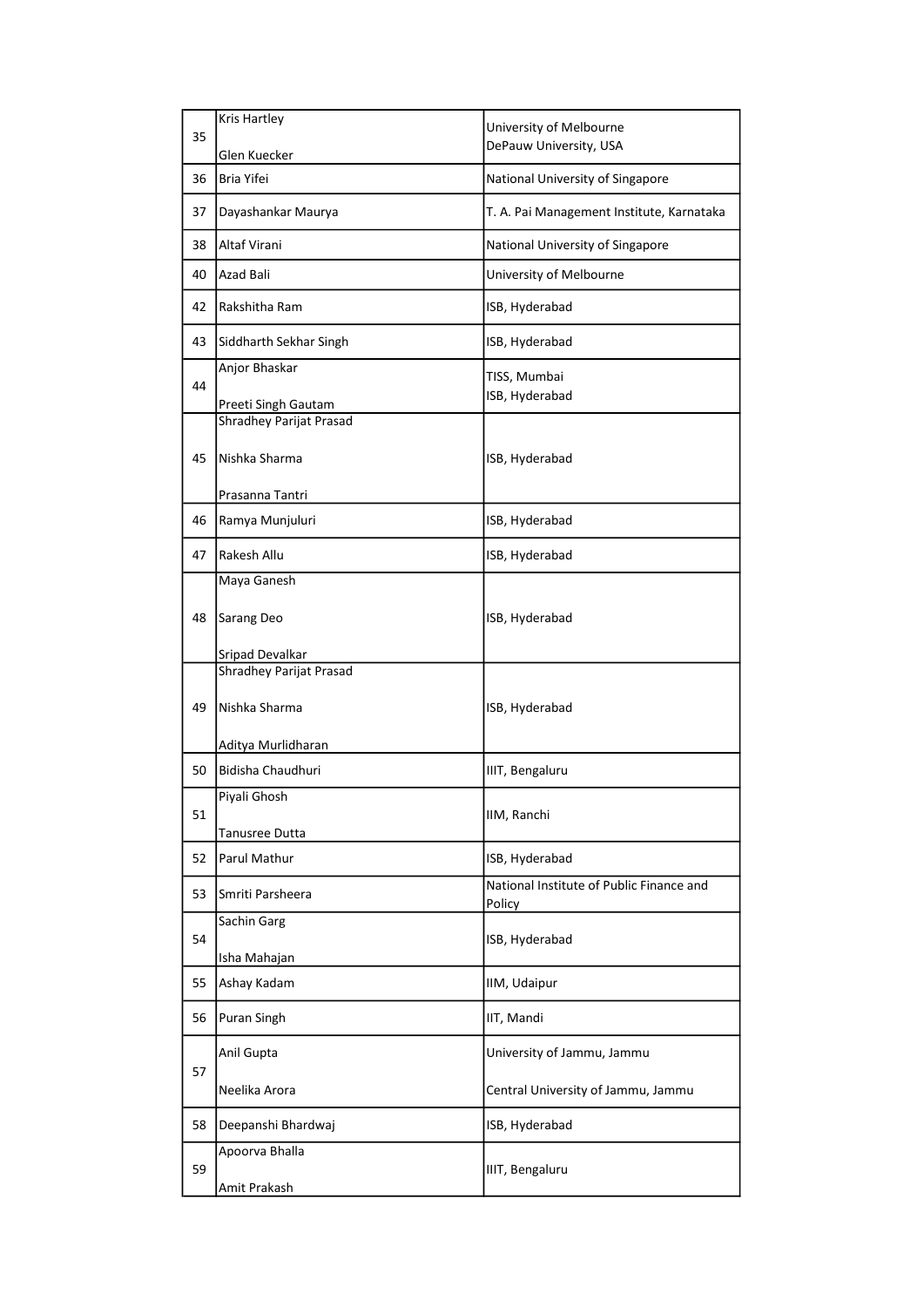|    | Kris Hartley            |                                                    |
|----|-------------------------|----------------------------------------------------|
| 35 |                         | University of Melbourne                            |
|    | Glen Kuecker            | DePauw University, USA                             |
| 36 | Bria Yifei              | National University of Singapore                   |
| 37 | Dayashankar Maurya      | T. A. Pai Management Institute, Karnataka          |
| 38 | Altaf Virani            | National University of Singapore                   |
| 40 | Azad Bali               | University of Melbourne                            |
| 42 | Rakshitha Ram           | ISB, Hyderabad                                     |
| 43 | Siddharth Sekhar Singh  | ISB, Hyderabad                                     |
|    | Anjor Bhaskar           | TISS, Mumbai                                       |
| 44 |                         | ISB, Hyderabad                                     |
|    | Preeti Singh Gautam     |                                                    |
|    | Shradhey Parijat Prasad |                                                    |
| 45 | Nishka Sharma           | ISB, Hyderabad                                     |
|    | Prasanna Tantri         |                                                    |
| 46 | Ramya Munjuluri         | ISB, Hyderabad                                     |
|    |                         |                                                    |
| 47 | Rakesh Allu             | ISB, Hyderabad                                     |
|    | Maya Ganesh             |                                                    |
| 48 | Sarang Deo              | ISB, Hyderabad                                     |
|    | Sripad Devalkar         |                                                    |
|    | Shradhey Parijat Prasad |                                                    |
| 49 | Nishka Sharma           | ISB, Hyderabad                                     |
|    | Aditya Murlidharan      |                                                    |
| 50 | Bidisha Chaudhuri       | IIIT, Bengaluru                                    |
|    | Piyali Ghosh            |                                                    |
| 51 |                         | IIM, Ranchi                                        |
|    | Tanusree Dutta          |                                                    |
| 52 | Parul Mathur            | ISB, Hyderabad                                     |
| 53 | Smriti Parsheera        | National Institute of Public Finance and<br>Policy |
|    | Sachin Garg             |                                                    |
| 54 |                         | ISB, Hyderabad                                     |
|    | Isha Mahajan            |                                                    |
| 55 | Ashay Kadam             | IIM, Udaipur                                       |
| 56 | <b>Puran Singh</b>      | IIT, Mandi                                         |
| 57 | Anil Gupta              | University of Jammu, Jammu                         |
|    | Neelika Arora           | Central University of Jammu, Jammu                 |
| 58 | Deepanshi Bhardwaj      | ISB, Hyderabad                                     |
| 59 | Apoorva Bhalla          | IIIT, Bengaluru                                    |
|    |                         |                                                    |
|    | Amit Prakash            |                                                    |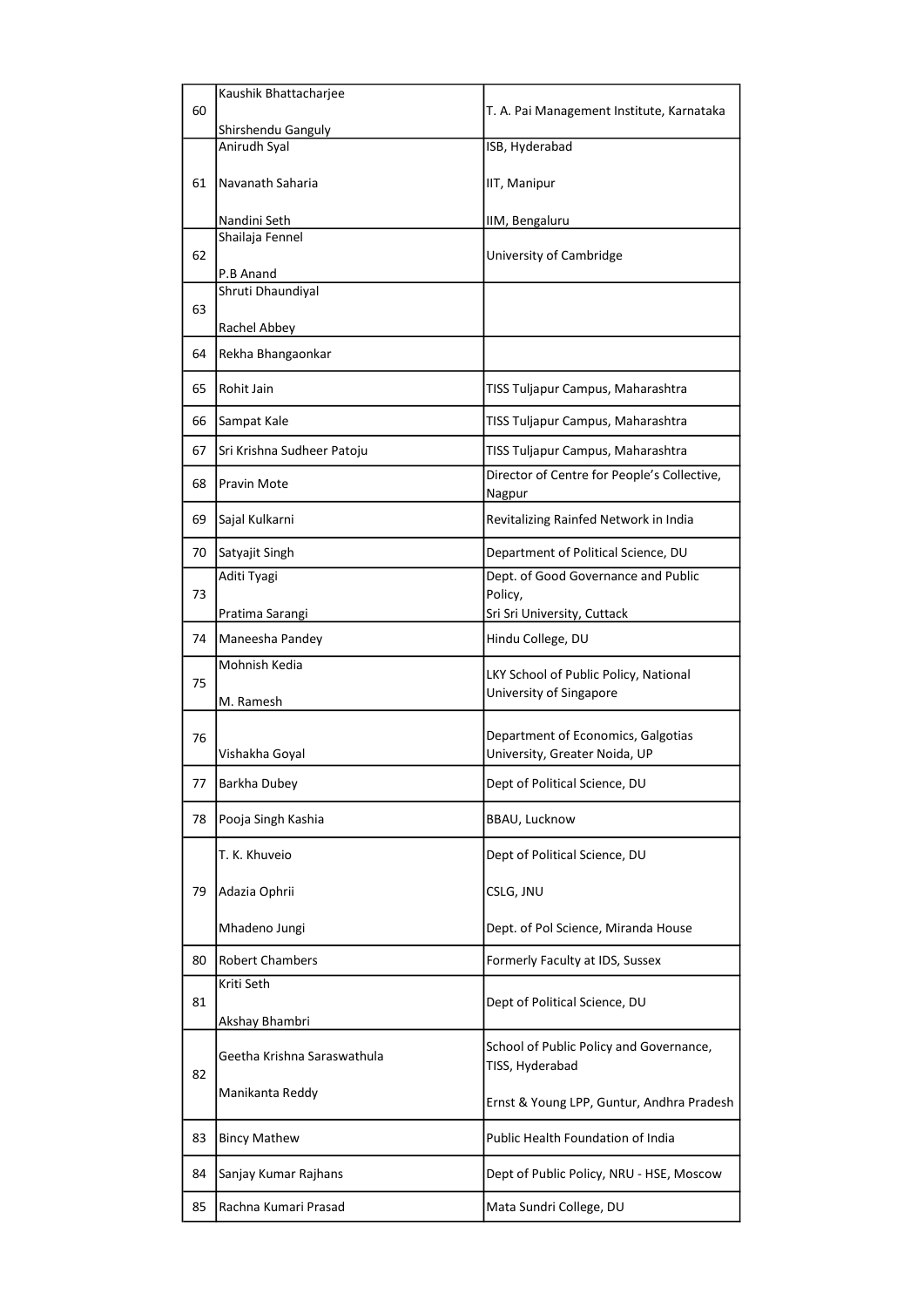|    | Kaushik Bhattacharjee              |                                                                     |
|----|------------------------------------|---------------------------------------------------------------------|
| 60 |                                    | T. A. Pai Management Institute, Karnataka                           |
|    | Shirshendu Ganguly<br>Anirudh Syal | ISB, Hyderabad                                                      |
|    |                                    |                                                                     |
| 61 | Navanath Saharia                   | IIT, Manipur                                                        |
|    | Nandini Seth                       | IIM, Bengaluru                                                      |
|    | Shailaja Fennel                    |                                                                     |
| 62 | P.B Anand                          | University of Cambridge                                             |
|    | Shruti Dhaundiyal                  |                                                                     |
| 63 |                                    |                                                                     |
|    | Rachel Abbey                       |                                                                     |
| 64 | Rekha Bhangaonkar                  |                                                                     |
| 65 | Rohit Jain                         | TISS Tuljapur Campus, Maharashtra                                   |
| 66 | Sampat Kale                        | TISS Tuljapur Campus, Maharashtra                                   |
| 67 | Sri Krishna Sudheer Patoju         | TISS Tuljapur Campus, Maharashtra                                   |
| 68 | <b>Pravin Mote</b>                 | Director of Centre for People's Collective,<br>Nagpur               |
| 69 | Sajal Kulkarni                     | Revitalizing Rainfed Network in India                               |
| 70 | Satyajit Singh                     | Department of Political Science, DU                                 |
|    | Aditi Tyagi                        | Dept. of Good Governance and Public                                 |
| 73 |                                    | Policy,                                                             |
|    | Pratima Sarangi                    | Sri Sri University, Cuttack                                         |
| 74 | Maneesha Pandey                    | Hindu College, DU                                                   |
| 75 | Mohnish Kedia                      | LKY School of Public Policy, National                               |
|    | M. Ramesh                          | University of Singapore                                             |
|    |                                    |                                                                     |
| 76 | Vishakha Goyal                     | Department of Economics, Galgotias<br>University, Greater Noida, UP |
|    |                                    |                                                                     |
| 77 | Barkha Dubey                       | Dept of Political Science, DU                                       |
| 78 | Pooja Singh Kashia                 | <b>BBAU, Lucknow</b>                                                |
|    | T. K. Khuveio                      | Dept of Political Science, DU                                       |
| 79 | Adazia Ophrii                      | CSLG, JNU                                                           |
|    | Mhadeno Jungi                      | Dept. of Pol Science, Miranda House                                 |
| 80 | <b>Robert Chambers</b>             | Formerly Faculty at IDS, Sussex                                     |
|    | Kriti Seth                         |                                                                     |
| 81 |                                    | Dept of Political Science, DU                                       |
|    | Akshay Bhambri                     |                                                                     |
| 82 | Geetha Krishna Saraswathula        | School of Public Policy and Governance,<br>TISS, Hyderabad          |
|    | Manikanta Reddy                    |                                                                     |
|    |                                    | Ernst & Young LPP, Guntur, Andhra Pradesh                           |
| 83 | <b>Bincy Mathew</b>                | Public Health Foundation of India                                   |
| 84 | Sanjay Kumar Rajhans               | Dept of Public Policy, NRU - HSE, Moscow                            |
| 85 | Rachna Kumari Prasad               | Mata Sundri College, DU                                             |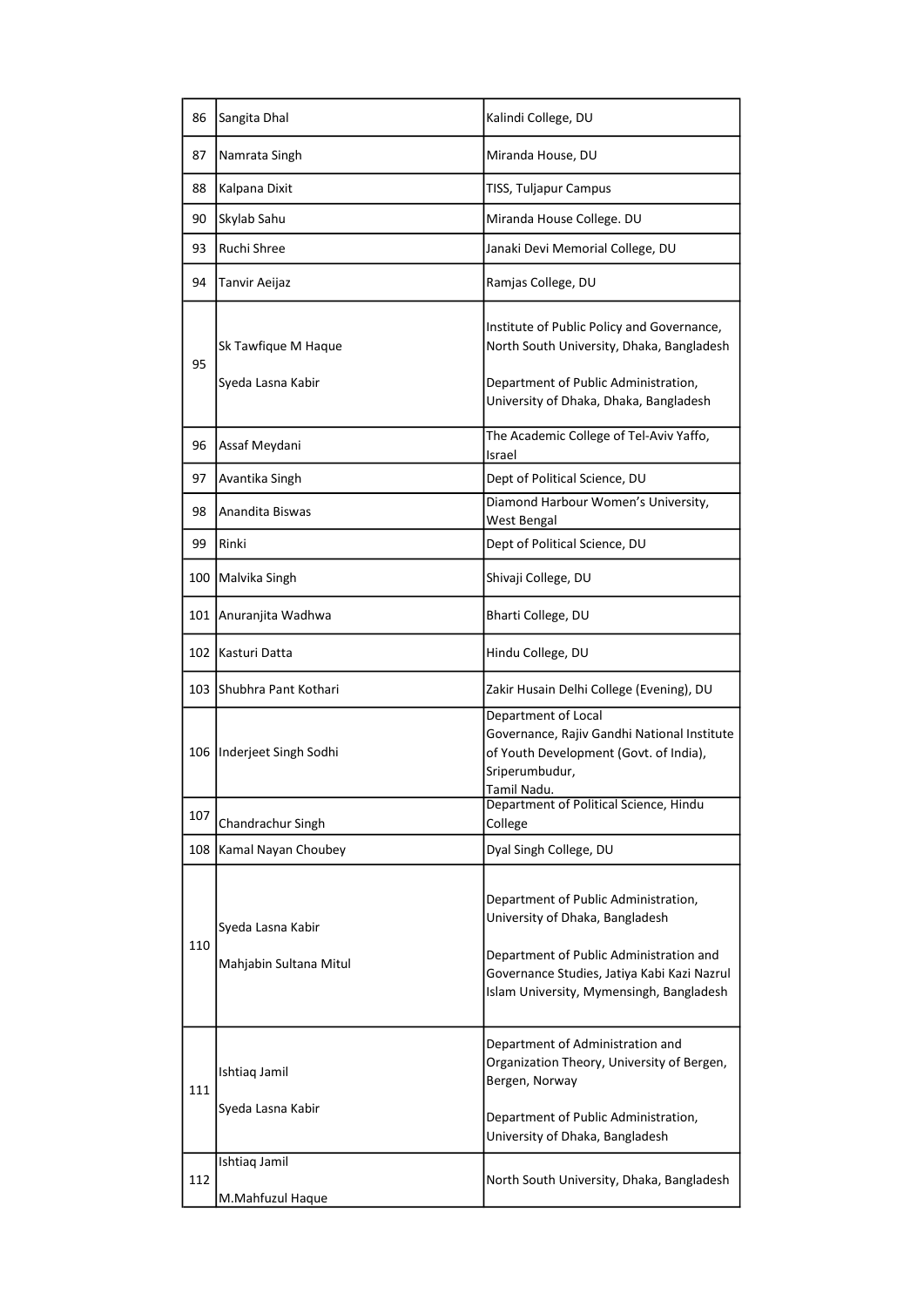| 86  | Sangita Dhal                                        | Kalindi College, DU                                                                                                                                                                                           |
|-----|-----------------------------------------------------|---------------------------------------------------------------------------------------------------------------------------------------------------------------------------------------------------------------|
| 87  | Namrata Singh                                       | Miranda House, DU                                                                                                                                                                                             |
| 88  | Kalpana Dixit                                       | TISS, Tuljapur Campus                                                                                                                                                                                         |
| 90  | Skylab Sahu                                         | Miranda House College. DU                                                                                                                                                                                     |
| 93  | Ruchi Shree                                         | Janaki Devi Memorial College, DU                                                                                                                                                                              |
| 94  | Tanvir Aeijaz                                       | Ramjas College, DU                                                                                                                                                                                            |
| 95  | Sk Tawfique M Haque<br>Syeda Lasna Kabir            | Institute of Public Policy and Governance,<br>North South University, Dhaka, Bangladesh<br>Department of Public Administration,<br>University of Dhaka, Dhaka, Bangladesh                                     |
| 96  | Assaf Meydani                                       | The Academic College of Tel-Aviv Yaffo,<br>Israel                                                                                                                                                             |
| 97  | Avantika Singh                                      | Dept of Political Science, DU                                                                                                                                                                                 |
| 98  | Anandita Biswas                                     | Diamond Harbour Women's University,<br>West Bengal                                                                                                                                                            |
| 99  | Rinki                                               | Dept of Political Science, DU                                                                                                                                                                                 |
| 100 | Malvika Singh                                       | Shivaji College, DU                                                                                                                                                                                           |
| 101 | Anuranjita Wadhwa                                   | Bharti College, DU                                                                                                                                                                                            |
| 102 | Kasturi Datta                                       | Hindu College, DU                                                                                                                                                                                             |
| 103 | Shubhra Pant Kothari                                | Zakir Husain Delhi College (Evening), DU                                                                                                                                                                      |
| 106 | Inderjeet Singh Sodhi                               | Department of Local<br>Governance, Rajiv Gandhi National Institute<br>of Youth Development (Govt. of India),<br>Sriperumbudur,<br>Tamil Nadu.                                                                 |
| 107 | Chandrachur Singh                                   | Department of Political Science, Hindu<br>College                                                                                                                                                             |
| 108 | Kamal Nayan Choubey                                 | Dyal Singh College, DU                                                                                                                                                                                        |
| 110 | Syeda Lasna Kabir<br>Mahjabin Sultana Mitul         | Department of Public Administration,<br>University of Dhaka, Bangladesh<br>Department of Public Administration and<br>Governance Studies, Jatiya Kabi Kazi Nazrul<br>Islam University, Mymensingh, Bangladesh |
| 111 | Ishtiaq Jamil<br>Syeda Lasna Kabir<br>Ishtiaq Jamil | Department of Administration and<br>Organization Theory, University of Bergen,<br>Bergen, Norway<br>Department of Public Administration,<br>University of Dhaka, Bangladesh                                   |
| 112 | M.Mahfuzul Haque                                    | North South University, Dhaka, Bangladesh                                                                                                                                                                     |